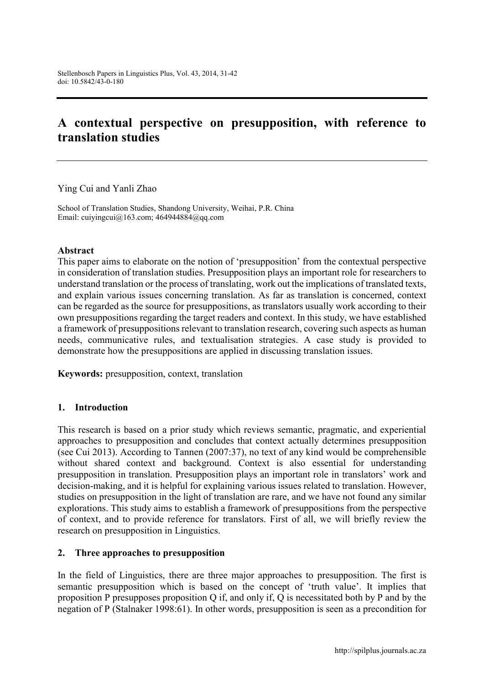# A contextual perspective on presupposition, with reference to translation studies

Ying Cui and Yanli Zhao

School of Translation Studies, Shandong University, Weihai, P.R. China Email: [cuiyingcui@163.com](mailto:cuiyingcui@163.com); [464944884@qq.com](mailto:464944884@qq.com)

#### Abstract

This paper aims to elaborate on the notion of 'presupposition' from the contextual perspective in consideration of translation studies. Presupposition plays an important role for researchers to understand translation or the process of translating, work out the implications of translated texts, and explain various issues concerning translation. As far as translation is concerned, context can be regarded as the source for presuppositions, as translators usually work according to their own presuppositions regarding the target readers and context. In this study, we have established a framework of presuppositions relevant to translation research, covering such aspects as human needs, communicative rules, and textualisation strategies. A case study is provided to demonstrate how the presuppositions are applied in discussing translation issues.

Keywords: presupposition, context, translation

### 1. Introduction

This research is based on a prior study which reviews semantic, pragmatic, and experiential approaches to presupposition and concludes that context actually determines presupposition (see Cui 2013). According to Tannen (2007:37), no text of any kind would be comprehensible without shared context and background. Context is also essential for understanding presupposition in translation. Presupposition plays an important role in translators' work and decision-making, and it is helpful for explaining various issues related to translation. However, studies on presupposition in the light of translation are rare, and we have not found any similar explorations. This study aims to establish a framework of presuppositions from the perspective of context, and to provide reference for translators. First of all, we will briefly review the research on presupposition in Linguistics.

#### 2. Three approaches to presupposition

In the field of Linguistics, there are three major approaches to presupposition. The first is semantic presupposition which is based on the concept of 'truth value'. It implies that proposition P presupposes proposition Q if, and only if, Q is necessitated both by P and by the negation of P (Stalnaker 1998:61). In other words, presupposition is seen as a precondition for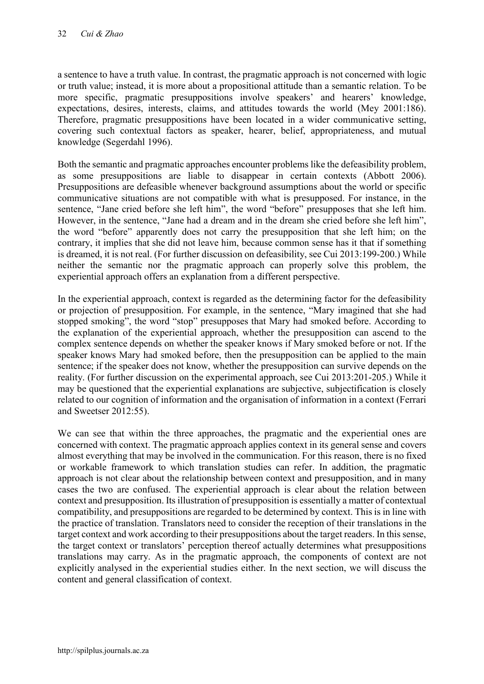a sentence to have a truth value. In contrast, the pragmatic approach is not concerned with logic or truth value; instead, it is more about a propositional attitude than a semantic relation. To be more specific, pragmatic presuppositions involve speakers' and hearers' knowledge, expectations, desires, interests, claims, and attitudes towards the world (Mey 2001:186). Therefore, pragmatic presuppositions have been located in a wider communicative setting, covering such contextual factors as speaker, hearer, belief, appropriateness, and mutual knowledge (Segerdahl 1996).

Both the semantic and pragmatic approaches encounter problems like the defeasibility problem, as some presuppositions are liable to disappear in certain contexts (Abbott 2006). Presuppositions are defeasible whenever background assumptions about the world or specific communicative situations are not compatible with what is presupposed. For instance, in the sentence, "Jane cried before she left him", the word "before" presupposes that she left him. However, in the sentence, "Jane had a dream and in the dream she cried before she left him", the word "before" apparently does not carry the presupposition that she left him; on the contrary, it implies that she did not leave him, because common sense has it that if something is dreamed, it is not real. (For further discussion on defeasibility, see Cui 2013:199-200.) While neither the semantic nor the pragmatic approach can properly solve this problem, the experiential approach offers an explanation from a different perspective.

In the experiential approach, context is regarded as the determining factor for the defeasibility or projection of presupposition. For example, in the sentence, "Mary imagined that she had stopped smoking", the word "stop" presupposes that Mary had smoked before. According to the explanation of the experiential approach, whether the presupposition can ascend to the complex sentence depends on whether the speaker knows if Mary smoked before or not. If the speaker knows Mary had smoked before, then the presupposition can be applied to the main sentence; if the speaker does not know, whether the presupposition can survive depends on the reality. (For further discussion on the experimental approach, see Cui 2013:201-205.) While it may be questioned that the experiential explanations are subjective, subjectification is closely related to our cognition of information and the organisation of information in a context (Ferrari and Sweetser 2012:55).

We can see that within the three approaches, the pragmatic and the experiential ones are concerned with context. The pragmatic approach applies context in its general sense and covers almost everything that may be involved in the communication. For this reason, there is no fixed or workable framework to which translation studies can refer. In addition, the pragmatic approach is not clear about the relationship between context and presupposition, and in many cases the two are confused. The experiential approach is clear about the relation between context and presupposition. Its illustration of presupposition is essentially a matter of contextual compatibility, and presuppositions are regarded to be determined by context. This is in line with the practice of translation. Translators need to consider the reception of their translations in the target context and work according to their presuppositions about the target readers. In this sense, the target context or translators' perception thereof actually determines what presuppositions translations may carry. As in the pragmatic approach, the components of context are not explicitly analysed in the experiential studies either. In the next section, we will discuss the content and general classification of context.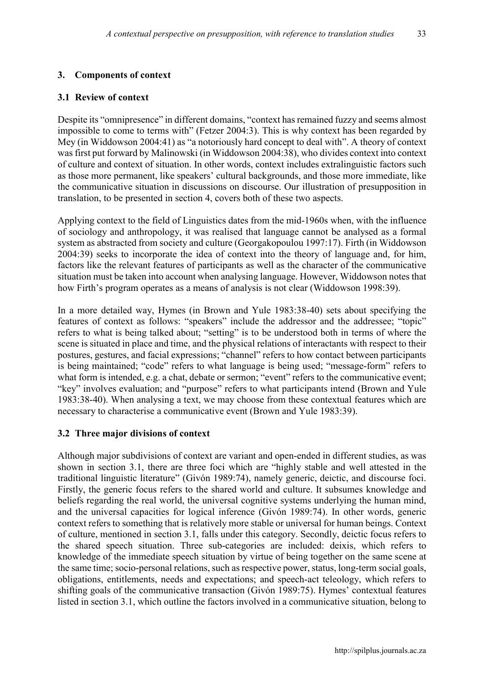# 3. Components of context

#### 3.1 Review of context

Despite its "omnipresence" in different domains, "context has remained fuzzy and seems almost impossible to come to terms with" (Fetzer 2004:3). This is why context has been regarded by Mey (in Widdowson 2004:41) as "a notoriously hard concept to deal with". A theory of context was first put forward by Malinowski (in Widdowson 2004:38), who divides context into context of culture and context of situation. In other words, context includes extralinguistic factors such as those more permanent, like speakers' cultural backgrounds, and those more immediate, like the communicative situation in discussions on discourse. Our illustration of presupposition in translation, to be presented in section 4, covers both of these two aspects.

Applying context to the field of Linguistics dates from the mid-1960s when, with the influence of sociology and anthropology, it was realised that language cannot be analysed as a formal system as abstracted from society and culture (Georgakopoulou 1997:17). Firth (in Widdowson 2004:39) seeks to incorporate the idea of context into the theory of language and, for him, factors like the relevant features of participants as well as the character of the communicative situation must be taken into account when analysing language. However, Widdowson notes that how Firth's program operates as a means of analysis is not clear (Widdowson 1998:39).

In a more detailed way, Hymes (in Brown and Yule 1983:38-40) sets about specifying the features of context as follows: "speakers" include the addressor and the addressee; "topic" refers to what is being talked about; "setting" is to be understood both in terms of where the scene is situated in place and time, and the physical relations of interactants with respect to their postures, gestures, and facial expressions; "channel" refers to how contact between participants is being maintained; "code" refers to what language is being used; "message-form" refers to what form is intended, e.g. a chat, debate or sermon; "event" refers to the communicative event; "key" involves evaluation; and "purpose" refers to what participants intend (Brown and Yule 1983:38-40). When analysing a text, we may choose from these contextual features which are necessary to characterise a communicative event (Brown and Yule 1983:39).

#### 3.2 Three major divisions of context

Although major subdivisions of context are variant and open-ended in different studies, as was shown in section 3.1, there are three foci which are "highly stable and well attested in the traditional linguistic literature" (Givón 1989:74), namely generic, deictic, and discourse foci. Firstly, the generic focus refers to the shared world and culture. It subsumes knowledge and beliefs regarding the real world, the universal cognitive systems underlying the human mind, and the universal capacities for logical inference (Givón 1989:74). In other words, generic context refers to something that is relatively more stable or universal for human beings. Context of culture, mentioned in section 3.1, falls under this category. Secondly, deictic focus refers to the shared speech situation. Three sub-categories are included: deixis, which refers to knowledge of the immediate speech situation by virtue of being together on the same scene at the same time; socio-personal relations, such as respective power, status, long-term social goals, obligations, entitlements, needs and expectations; and speech-act teleology, which refers to shifting goals of the communicative transaction (Givón 1989:75). Hymes' contextual features listed in section 3.1, which outline the factors involved in a communicative situation, belong to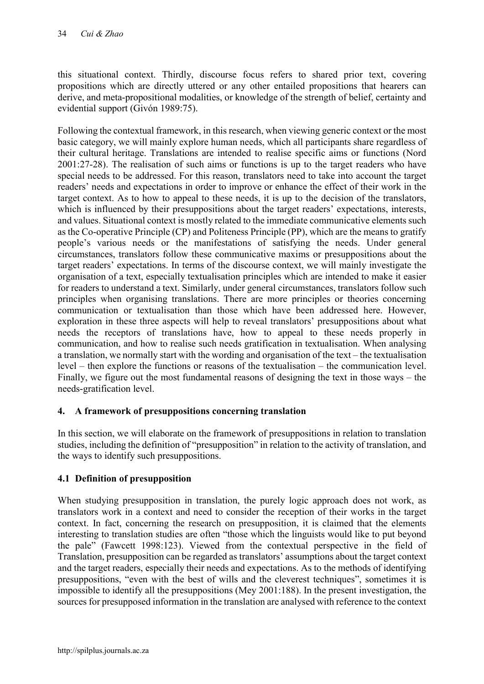this situational context. Thirdly, discourse focus refers to shared prior text, covering propositions which are directly uttered or any other entailed propositions that hearers can derive, and meta-propositional modalities, or knowledge of the strength of belief, certainty and evidential support (Givón 1989:75).

Following the contextual framework, in this research, when viewing generic context or the most basic category, we will mainly explore human needs, which all participants share regardless of their cultural heritage. Translations are intended to realise specific aims or functions (Nord 2001:27-28). The realisation of such aims or functions is up to the target readers who have special needs to be addressed. For this reason, translators need to take into account the target readers' needs and expectations in order to improve or enhance the effect of their work in the target context. As to how to appeal to these needs, it is up to the decision of the translators, which is influenced by their presuppositions about the target readers' expectations, interests, and values. Situational context is mostly related to the immediate communicative elements such as the Co-operative Principle (CP) and Politeness Principle (PP), which are the means to gratify people's various needs or the manifestations of satisfying the needs. Under general circumstances, translators follow these communicative maxims or presuppositions about the target readers' expectations. In terms of the discourse context, we will mainly investigate the organisation of a text, especially textualisation principles which are intended to make it easier for readers to understand a text. Similarly, under general circumstances, translators follow such principles when organising translations. There are more principles or theories concerning communication or textualisation than those which have been addressed here. However, exploration in these three aspects will help to reveal translators' presuppositions about what needs the receptors of translations have, how to appeal to these needs properly in communication, and how to realise such needs gratification in textualisation. When analysing a translation, we normally start with the wording and organisation of the text – the textualisation level – then explore the functions or reasons of the textualisation – the communication level. Finally, we figure out the most fundamental reasons of designing the text in those ways – the needs-gratification level.

# 4. A framework of presuppositions concerning translation

In this section, we will elaborate on the framework of presuppositions in relation to translation studies, including the definition of "presupposition" in relation to the activity of translation, and the ways to identify such presuppositions.

# 4.1 Definition of presupposition

When studying presupposition in translation, the purely logic approach does not work, as translators work in a context and need to consider the reception of their works in the target context. In fact, concerning the research on presupposition, it is claimed that the elements interesting to translation studies are often "those which the linguists would like to put beyond the pale" (Fawcett 1998:123). Viewed from the contextual perspective in the field of Translation, presupposition can be regarded as translators' assumptions about the target context and the target readers, especially their needs and expectations. As to the methods of identifying presuppositions, "even with the best of wills and the cleverest techniques", sometimes it is impossible to identify all the presuppositions (Mey 2001:188). In the present investigation, the sources for presupposed information in the translation are analysed with reference to the context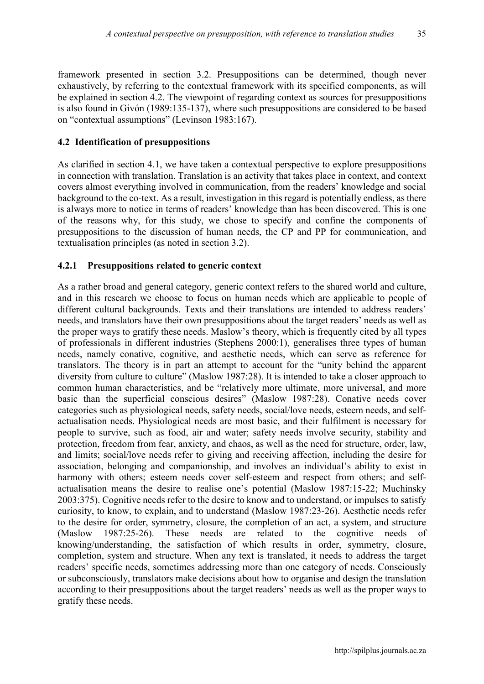framework presented in section 3.2. Presuppositions can be determined, though never exhaustively, by referring to the contextual framework with its specified components, as will be explained in section 4.2. The viewpoint of regarding context as sources for presuppositions is also found in Givón (1989:135-137), where such presuppositions are considered to be based on "contextual assumptions" (Levinson 1983:167).

# 4.2 Identification of presuppositions

As clarified in section 4.1, we have taken a contextual perspective to explore presuppositions in connection with translation. Translation is an activity that takes place in context, and context covers almost everything involved in communication, from the readers' knowledge and social background to the co-text. As a result, investigation in this regard is potentially endless, as there is always more to notice in terms of readers' knowledge than has been discovered. This is one of the reasons why, for this study, we chose to specify and confine the components of presuppositions to the discussion of human needs, the CP and PP for communication, and textualisation principles (as noted in section 3.2).

# 4.2.1 Presuppositions related to generic context

As a rather broad and general category, generic context refers to the shared world and culture, and in this research we choose to focus on human needs which are applicable to people of different cultural backgrounds. Texts and their translations are intended to address readers' needs, and translators have their own presuppositions about the target readers' needs as well as the proper ways to gratify these needs. Maslow's theory, which is frequently cited by all types of professionals in different industries (Stephens 2000:1), generalises three types of human needs, namely conative, cognitive, and aesthetic needs, which can serve as reference for translators. The theory is in part an attempt to account for the "unity behind the apparent diversity from culture to culture" (Maslow 1987:28). It is intended to take a closer approach to common human characteristics, and be "relatively more ultimate, more universal, and more basic than the superficial conscious desires" (Maslow 1987:28). Conative needs cover categories such as physiological needs, safety needs, social/love needs, esteem needs, and selfactualisation needs. Physiological needs are most basic, and their fulfilment is necessary for people to survive, such as food, air and water; safety needs involve security, stability and protection, freedom from fear, anxiety, and chaos, as well as the need for structure, order, law, and limits; social/love needs refer to giving and receiving affection, including the desire for association, belonging and companionship, and involves an individual's ability to exist in harmony with others; esteem needs cover self-esteem and respect from others; and selfactualisation means the desire to realise one's potential (Maslow 1987:15-22; Muchinsky 2003:375). Cognitive needs refer to the desire to know and to understand, or impulses to satisfy curiosity, to know, to explain, and to understand (Maslow 1987:23-26). Aesthetic needs refer to the desire for order, symmetry, closure, the completion of an act, a system, and structure (Maslow 1987:25-26). These needs are related to the cognitive needs of knowing/understanding, the satisfaction of which results in order, symmetry, closure, completion, system and structure. When any text is translated, it needs to address the target readers' specific needs, sometimes addressing more than one category of needs. Consciously or subconsciously, translators make decisions about how to organise and design the translation according to their presuppositions about the target readers' needs as well as the proper ways to gratify these needs.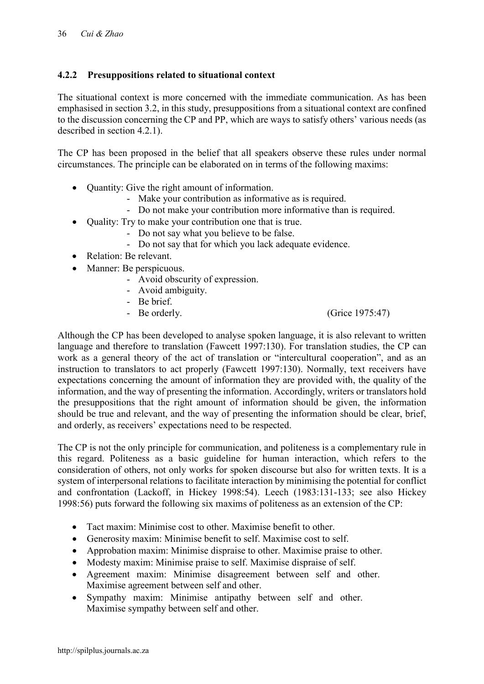# 4.2.2 Presuppositions related to situational context

The situational context is more concerned with the immediate communication. As has been emphasised in section 3.2, in this study, presuppositions from a situational context are confined to the discussion concerning the CP and PP, which are ways to satisfy others' various needs (as described in section 4.2.1).

The CP has been proposed in the belief that all speakers observe these rules under normal circumstances. The principle can be elaborated on in terms of the following maxims:

- Quantity: Give the right amount of information.
	- Make your contribution as informative as is required.
	- Do not make your contribution more informative than is required.
- Quality: Try to make your contribution one that is true.
	- Do not say what you believe to be false.
	- Do not say that for which you lack adequate evidence.
- Relation: Be relevant.
- Manner: Be perspicuous.
	- Avoid obscurity of expression.
	- Avoid ambiguity.
	- Be brief.
	-

- Be orderly. (Grice 1975:47)

Although the CP has been developed to analyse spoken language, it is also relevant to written language and therefore to translation (Fawcett 1997:130). For translation studies, the CP can work as a general theory of the act of translation or "intercultural cooperation", and as an instruction to translators to act properly (Fawcett 1997:130). Normally, text receivers have expectations concerning the amount of information they are provided with, the quality of the information, and the way of presenting the information. Accordingly, writers or translators hold the presuppositions that the right amount of information should be given, the information should be true and relevant, and the way of presenting the information should be clear, brief, and orderly, as receivers' expectations need to be respected.

The CP is not the only principle for communication, and politeness is a complementary rule in this regard. Politeness as a basic guideline for human interaction, which refers to the consideration of others, not only works for spoken discourse but also for written texts. It is a system of interpersonal relations to facilitate interaction by minimising the potential for conflict and confrontation (Lackoff, in Hickey 1998:54). Leech (1983:131-133; see also Hickey 1998:56) puts forward the following six maxims of politeness as an extension of the CP:

- Tact maxim: Minimise cost to other. Maximise benefit to other.
- Generosity maxim: Minimise benefit to self. Maximise cost to self.
- Approbation maxim: Minimise dispraise to other. Maximise praise to other.
- Modesty maxim: Minimise praise to self. Maximise dispraise of self.
- Agreement maxim: Minimise disagreement between self and other. Maximise agreement between self and other.
- Sympathy maxim: Minimise antipathy between self and other. Maximise sympathy between self and other.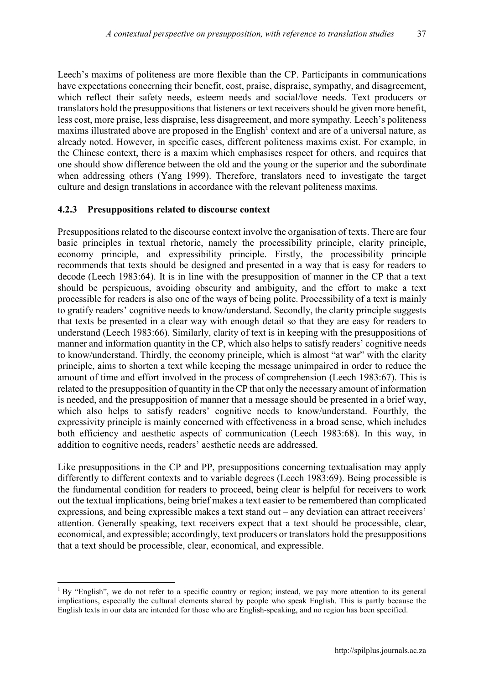Leech's maxims of politeness are more flexible than the CP. Participants in communications have expectations concerning their benefit, cost, praise, dispraise, sympathy, and disagreement, which reflect their safety needs, esteem needs and social/love needs. Text producers or translators hold the presuppositions that listeners or text receivers should be given more benefit, less cost, more praise, less dispraise, less disagreement, and more sympathy. Leech's politeness maxims illustrated above are proposed in the English<sup>1</sup> context and are of a universal nature, as already noted. However, in specific cases, different politeness maxims exist. For example, in the Chinese context, there is a maxim which emphasises respect for others, and requires that one should show difference between the old and the young or the superior and the subordinate when addressing others (Yang 1999). Therefore, translators need to investigate the target culture and design translations in accordance with the relevant politeness maxims.

#### 4.2.3 Presuppositions related to discourse context

1

Presuppositions related to the discourse context involve the organisation of texts. There are four basic principles in textual rhetoric, namely the processibility principle, clarity principle, economy principle, and expressibility principle. Firstly, the processibility principle recommends that texts should be designed and presented in a way that is easy for readers to decode (Leech 1983:64). It is in line with the presupposition of manner in the CP that a text should be perspicuous, avoiding obscurity and ambiguity, and the effort to make a text processible for readers is also one of the ways of being polite. Processibility of a text is mainly to gratify readers' cognitive needs to know/understand. Secondly, the clarity principle suggests that texts be presented in a clear way with enough detail so that they are easy for readers to understand (Leech 1983:66). Similarly, clarity of text is in keeping with the presuppositions of manner and information quantity in the CP, which also helps to satisfy readers' cognitive needs to know/understand. Thirdly, the economy principle, which is almost "at war" with the clarity principle, aims to shorten a text while keeping the message unimpaired in order to reduce the amount of time and effort involved in the process of comprehension (Leech 1983:67). This is related to the presupposition of quantity in the CP that only the necessary amount of information is needed, and the presupposition of manner that a message should be presented in a brief way, which also helps to satisfy readers' cognitive needs to know/understand. Fourthly, the expressivity principle is mainly concerned with effectiveness in a broad sense, which includes both efficiency and aesthetic aspects of communication (Leech 1983:68). In this way, in addition to cognitive needs, readers' aesthetic needs are addressed.

Like presuppositions in the CP and PP, presuppositions concerning textualisation may apply differently to different contexts and to variable degrees (Leech 1983:69). Being processible is the fundamental condition for readers to proceed, being clear is helpful for receivers to work out the textual implications, being brief makes a text easier to be remembered than complicated expressions, and being expressible makes a text stand out – any deviation can attract receivers' attention. Generally speaking, text receivers expect that a text should be processible, clear, economical, and expressible; accordingly, text producers or translators hold the presuppositions that a text should be processible, clear, economical, and expressible.

<sup>&</sup>lt;sup>1</sup> By "English", we do not refer to a specific country or region; instead, we pay more attention to its general implications, especially the cultural elements shared by people who speak English. This is partly because the English texts in our data are intended for those who are English-speaking, and no region has been specified.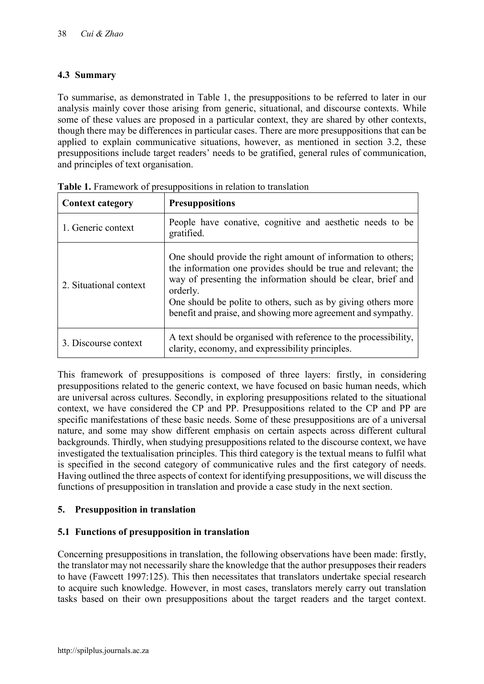# 4.3 Summary

To summarise, as demonstrated in Table 1, the presuppositions to be referred to later in our analysis mainly cover those arising from generic, situational, and discourse contexts. While some of these values are proposed in a particular context, they are shared by other contexts, though there may be differences in particular cases. There are more presuppositions that can be applied to explain communicative situations, however, as mentioned in section 3.2, these presuppositions include target readers' needs to be gratified, general rules of communication, and principles of text organisation.

| <b>Context category</b> | <b>Presuppositions</b>                                                                                                                                                                                                                                                                                                                      |
|-------------------------|---------------------------------------------------------------------------------------------------------------------------------------------------------------------------------------------------------------------------------------------------------------------------------------------------------------------------------------------|
| 1. Generic context      | People have conative, cognitive and aesthetic needs to be<br>gratified.                                                                                                                                                                                                                                                                     |
| 2. Situational context  | One should provide the right amount of information to others;<br>the information one provides should be true and relevant; the<br>way of presenting the information should be clear, brief and<br>orderly.<br>One should be polite to others, such as by giving others more<br>benefit and praise, and showing more agreement and sympathy. |
| 3. Discourse context    | A text should be organised with reference to the processibility,<br>clarity, economy, and expressibility principles.                                                                                                                                                                                                                        |

Table 1. Framework of presuppositions in relation to translation

This framework of presuppositions is composed of three layers: firstly, in considering presuppositions related to the generic context, we have focused on basic human needs, which are universal across cultures. Secondly, in exploring presuppositions related to the situational context, we have considered the CP and PP. Presuppositions related to the CP and PP are specific manifestations of these basic needs. Some of these presuppositions are of a universal nature, and some may show different emphasis on certain aspects across different cultural backgrounds. Thirdly, when studying presuppositions related to the discourse context, we have investigated the textualisation principles. This third category is the textual means to fulfil what is specified in the second category of communicative rules and the first category of needs. Having outlined the three aspects of context for identifying presuppositions, we will discuss the functions of presupposition in translation and provide a case study in the next section.

# 5. Presupposition in translation

# 5.1 Functions of presupposition in translation

Concerning presuppositions in translation, the following observations have been made: firstly, the translator may not necessarily share the knowledge that the author presupposes their readers to have (Fawcett 1997:125). This then necessitates that translators undertake special research to acquire such knowledge. However, in most cases, translators merely carry out translation tasks based on their own presuppositions about the target readers and the target context.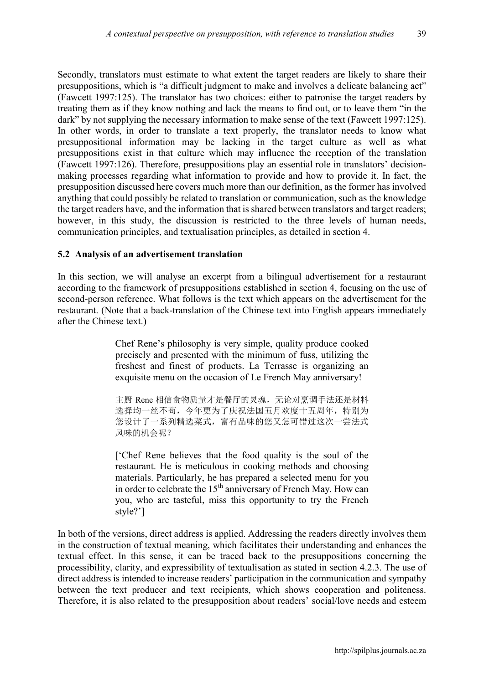Secondly, translators must estimate to what extent the target readers are likely to share their presuppositions, which is "a difficult judgment to make and involves a delicate balancing act" (Fawcett 1997:125). The translator has two choices: either to patronise the target readers by treating them as if they know nothing and lack the means to find out, or to leave them "in the dark" by not supplying the necessary information to make sense of the text (Fawcett 1997:125). In other words, in order to translate a text properly, the translator needs to know what presuppositional information may be lacking in the target culture as well as what presuppositions exist in that culture which may influence the reception of the translation (Fawcett 1997:126). Therefore, presuppositions play an essential role in translators' decisionmaking processes regarding what information to provide and how to provide it. In fact, the presupposition discussed here covers much more than our definition, as the former has involved anything that could possibly be related to translation or communication, such as the knowledge the target readers have, and the information that is shared between translators and target readers; however, in this study, the discussion is restricted to the three levels of human needs, communication principles, and textualisation principles, as detailed in section 4.

#### 5.2 Analysis of an advertisement translation

In this section, we will analyse an excerpt from a bilingual advertisement for a restaurant according to the framework of presuppositions established in section 4, focusing on the use of second-person reference. What follows is the text which appears on the advertisement for the restaurant. (Note that a back-translation of the Chinese text into English appears immediately after the Chinese text.)

> Chef Rene's philosophy is very simple, quality produce cooked precisely and presented with the minimum of fuss, utilizing the freshest and finest of products. La Terrasse is organizing an exquisite menu on the occasion of Le French May anniversary!

> 主厨 Rene 相信食物质量才是餐厅的灵魂,无论对烹调手法还是材料 选择均一丝不茍,今年更为了庆祝法国五月欢度十五周年,特别为 您设计了一系列精选菜式,富有品味的您又怎可错过这次一尝法式 风味的机会呢?

> ['Chef Rene believes that the food quality is the soul of the restaurant. He is meticulous in cooking methods and choosing materials. Particularly, he has prepared a selected menu for you in order to celebrate the 15<sup>th</sup> anniversary of French May. How can you, who are tasteful, miss this opportunity to try the French style?']

In both of the versions, direct address is applied. Addressing the readers directly involves them in the construction of textual meaning, which facilitates their understanding and enhances the textual effect. In this sense, it can be traced back to the presuppositions concerning the processibility, clarity, and expressibility of textualisation as stated in section 4.2.3. The use of direct address is intended to increase readers' participation in the communication and sympathy between the text producer and text recipients, which shows cooperation and politeness. Therefore, it is also related to the presupposition about readers' social/love needs and esteem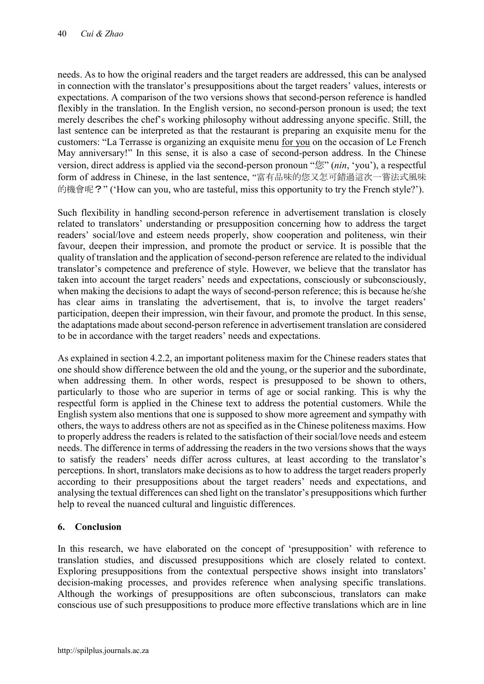needs. As to how the original readers and the target readers are addressed, this can be analysed in connection with the translator's presuppositions about the target readers' values, interests or expectations. A comparison of the two versions shows that second-person reference is handled flexibly in the translation. In the English version, no second-person pronoun is used; the text merely describes the chef's working philosophy without addressing anyone specific. Still, the last sentence can be interpreted as that the restaurant is preparing an exquisite menu for the customers: "La Terrasse is organizing an exquisite menu for you on the occasion of Le French May anniversary!" In this sense, it is also a case of second-person address. In the Chinese version, direct address is applied via the second-person pronoun "您" (*nin*, 'you'), a respectful form of address in Chinese, in the last sentence, "富有品味的您又怎可錯過這次一嘗法式風味 的機會呢?" ('How can you, who are tasteful, miss this opportunity to try the French style?').

Such flexibility in handling second-person reference in advertisement translation is closely related to translators' understanding or presupposition concerning how to address the target readers' social/love and esteem needs properly, show cooperation and politeness, win their favour, deepen their impression, and promote the product or service. It is possible that the quality of translation and the application of second-person reference are related to the individual translator's competence and preference of style. However, we believe that the translator has taken into account the target readers' needs and expectations, consciously or subconsciously, when making the decisions to adapt the ways of second-person reference; this is because he/she has clear aims in translating the advertisement, that is, to involve the target readers' participation, deepen their impression, win their favour, and promote the product. In this sense, the adaptations made about second-person reference in advertisement translation are considered to be in accordance with the target readers' needs and expectations.

As explained in section 4.2.2, an important politeness maxim for the Chinese readers states that one should show difference between the old and the young, or the superior and the subordinate, when addressing them. In other words, respect is presupposed to be shown to others, particularly to those who are superior in terms of age or social ranking. This is why the respectful form is applied in the Chinese text to address the potential customers. While the English system also mentions that one is supposed to show more agreement and sympathy with others, the ways to address others are not as specified as in the Chinese politeness maxims. How to properly address the readers is related to the satisfaction of their social/love needs and esteem needs. The difference in terms of addressing the readers in the two versions shows that the ways to satisfy the readers' needs differ across cultures, at least according to the translator's perceptions. In short, translators make decisions as to how to address the target readers properly according to their presuppositions about the target readers' needs and expectations, and analysing the textual differences can shed light on the translator's presuppositions which further help to reveal the nuanced cultural and linguistic differences.

# 6. Conclusion

In this research, we have elaborated on the concept of 'presupposition' with reference to translation studies, and discussed presuppositions which are closely related to context. Exploring presuppositions from the contextual perspective shows insight into translators' decision-making processes, and provides reference when analysing specific translations. Although the workings of presuppositions are often subconscious, translators can make conscious use of such presuppositions to produce more effective translations which are in line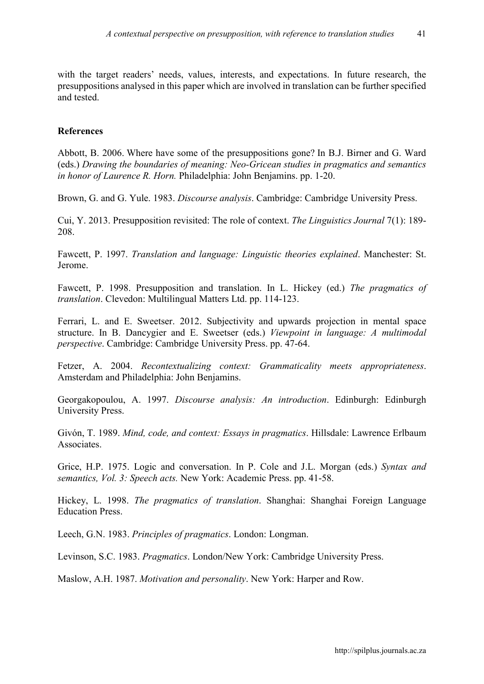with the target readers' needs, values, interests, and expectations. In future research, the presuppositions analysed in this paper which are involved in translation can be further specified and tested.

#### References

Abbott, B. 2006. Where have some of the presuppositions gone? In B.J. Birner and G. Ward (eds.) *Drawing the boundaries of meaning: Neo-Gricean studies in pragmatics and semantics in honor of Laurence R. Horn.* Philadelphia: John Benjamins. pp. 1-20.

Brown, G. and G. Yule. 1983. *Discourse analysis*. Cambridge: Cambridge University Press.

Cui, Y. 2013. Presupposition revisited: The role of context. *The Linguistics Journal* 7(1): 189- 208.

Fawcett, P. 1997. *Translation and language: Linguistic theories explained*. Manchester: St. Jerome.

Fawcett, P. 1998. Presupposition and translation. In L. Hickey (ed.) *The pragmatics of translation*. Clevedon: Multilingual Matters Ltd. pp. 114-123.

Ferrari, L. and E. Sweetser. 2012. Subjectivity and upwards projection in mental space structure. In B. Dancygier and E. Sweetser (eds.) *Viewpoint in language: A multimodal perspective*. Cambridge: Cambridge University Press. pp. 47-64.

Fetzer, A. 2004. *Recontextualizing context: Grammaticality meets appropriateness*. Amsterdam and Philadelphia: John Benjamins.

Georgakopoulou, A. 1997. *Discourse analysis: An introduction*. Edinburgh: Edinburgh University Press.

Givón, T. 1989. *Mind, code, and context: Essays in pragmatics*. Hillsdale: Lawrence Erlbaum Associates.

Grice, H.P. 1975. Logic and conversation. In P. Cole and J.L. Morgan (eds.) *Syntax and semantics, Vol. 3: Speech acts.* New York: Academic Press. pp. 41-58.

Hickey, L. 1998. *The pragmatics of translation*. Shanghai: Shanghai Foreign Language Education Press.

Leech, G.N. 1983. *Principles of pragmatics*. London: Longman.

Levinson, S.C. 1983. *Pragmatics*. London/New York: Cambridge University Press.

Maslow, A.H. 1987. *Motivation and personality*. New York: Harper and Row.